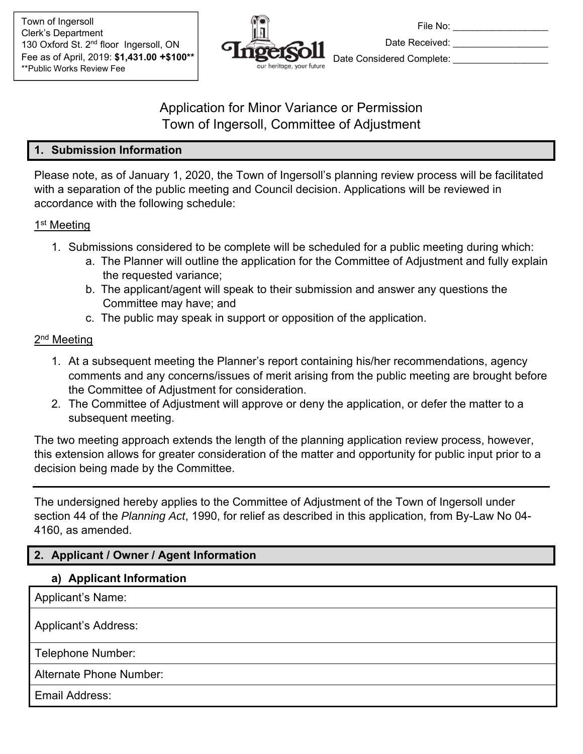

File No: \_\_\_\_\_\_\_\_\_\_\_\_\_\_ Date Received: Date Considered Complete:

# Application for Minor Variance or Permission Town of Ingersoll, Committee of Adjustment

### **1. Submission Information**

Please note, as of January 1, 2020, the Town of Ingersoll's planning review process will be facilitated with a separation of the public meeting and Council decision. Applications will be reviewed in accordance with the following schedule:

### 1<sup>st</sup> Meeting

- 1. Submissions considered to be complete will be scheduled for a public meeting during which:
	- a. The Planner will outline the application for the Committee of Adjustment and fully explain the requested variance;
	- b. The applicant/agent will speak to their submission and answer any questions the Committee may have; and
	- c. The public may speak in support or opposition of the application.

# 2<sup>nd</sup> Meeting

- 1. At a subsequent meeting the Planner's report containing his/her recommendations, agency comments and any concerns/issues of merit arising from the public meeting are brought before the Committee of Adjustment for consideration.
- 2. The Committee of Adjustment will approve or deny the application, or defer the matter to a subsequent meeting.

The two meeting approach extends the length of the planning application review process, however, this extension allows for greater consideration of the matter and opportunity for public input prior to a decision being made by the Committee.

The undersigned hereby applies to the Committee of Adjustment of the Town of Ingersoll under section 44 of the *Planning Act*, 1990, for relief as described in this application, from By-Law No 04- 4160, as amended.

# **2. Applicant / Owner / Agent Information**

### **a) Applicant Information**

Applicant's Name:

Applicant's Address:

Telephone Number:

Alternate Phone Number:

Email Address: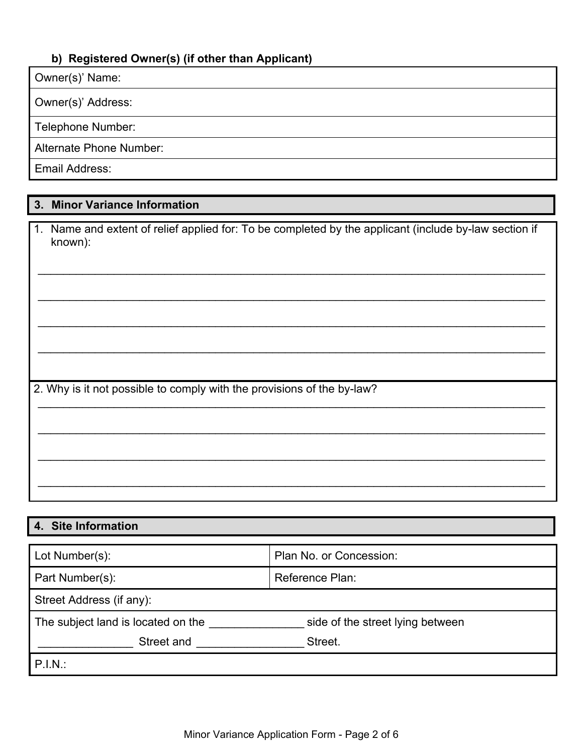### **b) Registered Owner(s) (if other than Applicant)**

#### Owner(s)' Name:

Owner(s)' Address:

Telephone Number:

Alternate Phone Number:

Email Address:

# **3. Minor Variance Information**

|                                                                        | 1. Name and extent of relief applied for: To be completed by the applicant (include by-law section if |  |
|------------------------------------------------------------------------|-------------------------------------------------------------------------------------------------------|--|
|                                                                        | known):                                                                                               |  |
|                                                                        |                                                                                                       |  |
|                                                                        |                                                                                                       |  |
|                                                                        |                                                                                                       |  |
|                                                                        |                                                                                                       |  |
|                                                                        |                                                                                                       |  |
|                                                                        |                                                                                                       |  |
|                                                                        |                                                                                                       |  |
|                                                                        |                                                                                                       |  |
|                                                                        |                                                                                                       |  |
|                                                                        |                                                                                                       |  |
|                                                                        |                                                                                                       |  |
| 2. Why is it not possible to comply with the provisions of the by-law? |                                                                                                       |  |
|                                                                        |                                                                                                       |  |
|                                                                        |                                                                                                       |  |
|                                                                        |                                                                                                       |  |
|                                                                        |                                                                                                       |  |
|                                                                        |                                                                                                       |  |
|                                                                        |                                                                                                       |  |
|                                                                        |                                                                                                       |  |
|                                                                        |                                                                                                       |  |

# **4. Site Information**

| Lot Number(s):                     | Plan No. or Concession:          |  |  |  |  |
|------------------------------------|----------------------------------|--|--|--|--|
| Part Number(s):                    | Reference Plan:                  |  |  |  |  |
| Street Address (if any):           |                                  |  |  |  |  |
| The subject land is located on the | side of the street lying between |  |  |  |  |
| Street and                         | Street.                          |  |  |  |  |
| $P.I.N.$ :                         |                                  |  |  |  |  |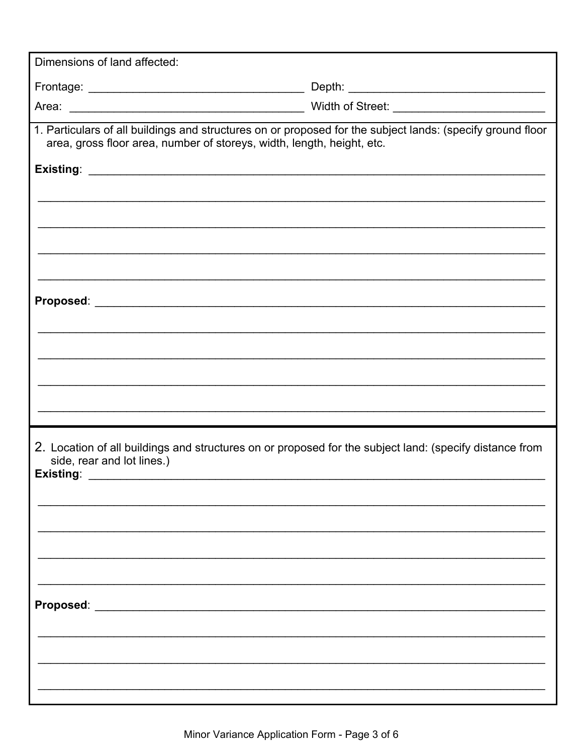| Dimensions of land affected:                                                                                                                                                         |                                                                                               |  |  |  |
|--------------------------------------------------------------------------------------------------------------------------------------------------------------------------------------|-----------------------------------------------------------------------------------------------|--|--|--|
|                                                                                                                                                                                      |                                                                                               |  |  |  |
|                                                                                                                                                                                      |                                                                                               |  |  |  |
| 1. Particulars of all buildings and structures on or proposed for the subject lands: (specify ground floor<br>area, gross floor area, number of storeys, width, length, height, etc. |                                                                                               |  |  |  |
|                                                                                                                                                                                      |                                                                                               |  |  |  |
| <u> 1989 - Johann John Stone, martin a</u>                                                                                                                                           |                                                                                               |  |  |  |
|                                                                                                                                                                                      |                                                                                               |  |  |  |
|                                                                                                                                                                                      |                                                                                               |  |  |  |
|                                                                                                                                                                                      |                                                                                               |  |  |  |
|                                                                                                                                                                                      | ,我们也不能在这里的人,我们也不能在这里的人,我们也不能在这里的人,我们也不能在这里的人,我们也不能在这里的人,我们也不能在这里的人,我们也不能在这里的人,我们也             |  |  |  |
|                                                                                                                                                                                      |                                                                                               |  |  |  |
|                                                                                                                                                                                      | <u> 1989 - Johann Stoff, amerikansk politiker (d. 1989)</u>                                   |  |  |  |
|                                                                                                                                                                                      | the control of the control of the control of the control of the control of the control of the |  |  |  |
|                                                                                                                                                                                      |                                                                                               |  |  |  |
|                                                                                                                                                                                      |                                                                                               |  |  |  |
|                                                                                                                                                                                      |                                                                                               |  |  |  |
| 2. Location of all buildings and structures on or proposed for the subject land: (specify distance from<br>side, rear and lot lines.)                                                |                                                                                               |  |  |  |
| Existing:<br>the control of the control of the control of                                                                                                                            |                                                                                               |  |  |  |
|                                                                                                                                                                                      |                                                                                               |  |  |  |
|                                                                                                                                                                                      |                                                                                               |  |  |  |
|                                                                                                                                                                                      |                                                                                               |  |  |  |
|                                                                                                                                                                                      |                                                                                               |  |  |  |
|                                                                                                                                                                                      |                                                                                               |  |  |  |
|                                                                                                                                                                                      |                                                                                               |  |  |  |
|                                                                                                                                                                                      |                                                                                               |  |  |  |
|                                                                                                                                                                                      |                                                                                               |  |  |  |
|                                                                                                                                                                                      |                                                                                               |  |  |  |
|                                                                                                                                                                                      |                                                                                               |  |  |  |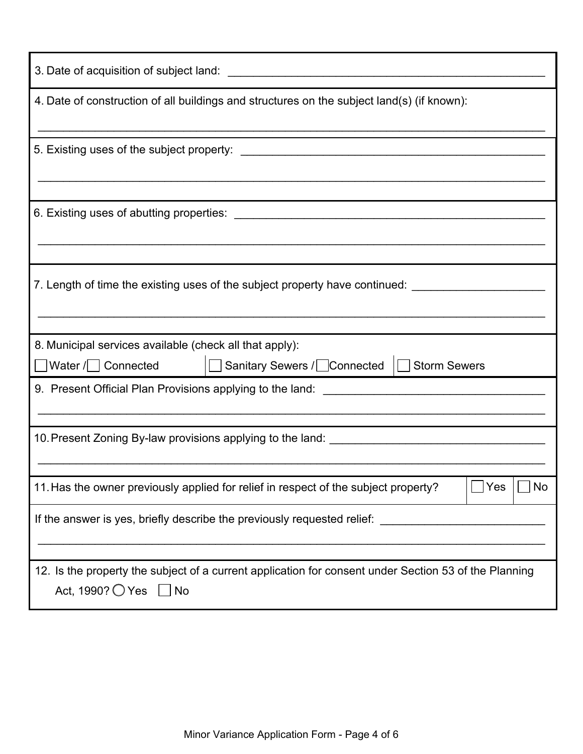| 4. Date of construction of all buildings and structures on the subject land(s) (if known):                                                      |  |  |  |  |
|-------------------------------------------------------------------------------------------------------------------------------------------------|--|--|--|--|
|                                                                                                                                                 |  |  |  |  |
|                                                                                                                                                 |  |  |  |  |
| 7. Length of time the existing uses of the subject property have continued: _______________________                                             |  |  |  |  |
| 8. Municipal services available (check all that apply):                                                                                         |  |  |  |  |
|                                                                                                                                                 |  |  |  |  |
|                                                                                                                                                 |  |  |  |  |
| Yes<br>No<br>11. Has the owner previously applied for relief in respect of the subject property?                                                |  |  |  |  |
| If the answer is yes, briefly describe the previously requested relief:                                                                         |  |  |  |  |
| 12. Is the property the subject of a current application for consent under Section 53 of the Planning<br>Act, 1990? $\bigcirc$ Yes $\bigcup$ No |  |  |  |  |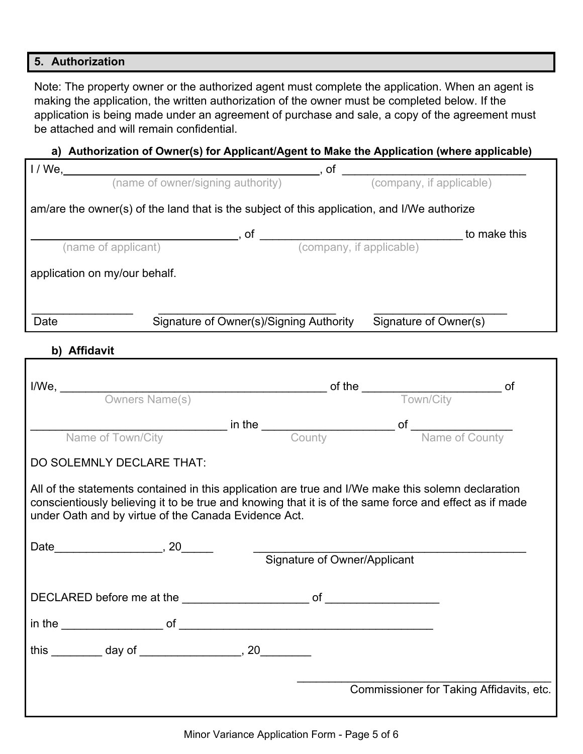#### **5. Authorization**

Note: The property owner or the authorized agent must complete the application. When an agent is making the application, the written authorization of the owner must be completed below. If the application is being made under an agreement of purchase and sale, a copy of the agreement must be attached and will remain confidential.

#### **a) Authorization of Owner(s) for Applicant/Agent to Make the Application (where applicable)**

| am/are the owner(s) of the land that is the subject of this application, and I/We authorize                                                                                                                                                                          |                                                               |  |  |  |
|----------------------------------------------------------------------------------------------------------------------------------------------------------------------------------------------------------------------------------------------------------------------|---------------------------------------------------------------|--|--|--|
|                                                                                                                                                                                                                                                                      |                                                               |  |  |  |
|                                                                                                                                                                                                                                                                      |                                                               |  |  |  |
| application on my/our behalf.                                                                                                                                                                                                                                        |                                                               |  |  |  |
|                                                                                                                                                                                                                                                                      |                                                               |  |  |  |
| Date                                                                                                                                                                                                                                                                 | Signature of Owner(s)/Signing Authority Signature of Owner(s) |  |  |  |
| b) Affidavit                                                                                                                                                                                                                                                         |                                                               |  |  |  |
|                                                                                                                                                                                                                                                                      |                                                               |  |  |  |
|                                                                                                                                                                                                                                                                      |                                                               |  |  |  |
|                                                                                                                                                                                                                                                                      |                                                               |  |  |  |
| Name of Town/City <b>Counting to the County County</b> of Name of County                                                                                                                                                                                             |                                                               |  |  |  |
| DO SOLEMNLY DECLARE THAT:                                                                                                                                                                                                                                            |                                                               |  |  |  |
| All of the statements contained in this application are true and I/We make this solemn declaration<br>conscientiously believing it to be true and knowing that it is of the same force and effect as if made<br>under Oath and by virtue of the Canada Evidence Act. |                                                               |  |  |  |
|                                                                                                                                                                                                                                                                      |                                                               |  |  |  |
|                                                                                                                                                                                                                                                                      | Signature of Owner/Applicant                                  |  |  |  |
|                                                                                                                                                                                                                                                                      |                                                               |  |  |  |
|                                                                                                                                                                                                                                                                      |                                                               |  |  |  |
| this _________ day of _________________, 20_________                                                                                                                                                                                                                 |                                                               |  |  |  |
|                                                                                                                                                                                                                                                                      | Commissioner for Taking Affidavits, etc.                      |  |  |  |